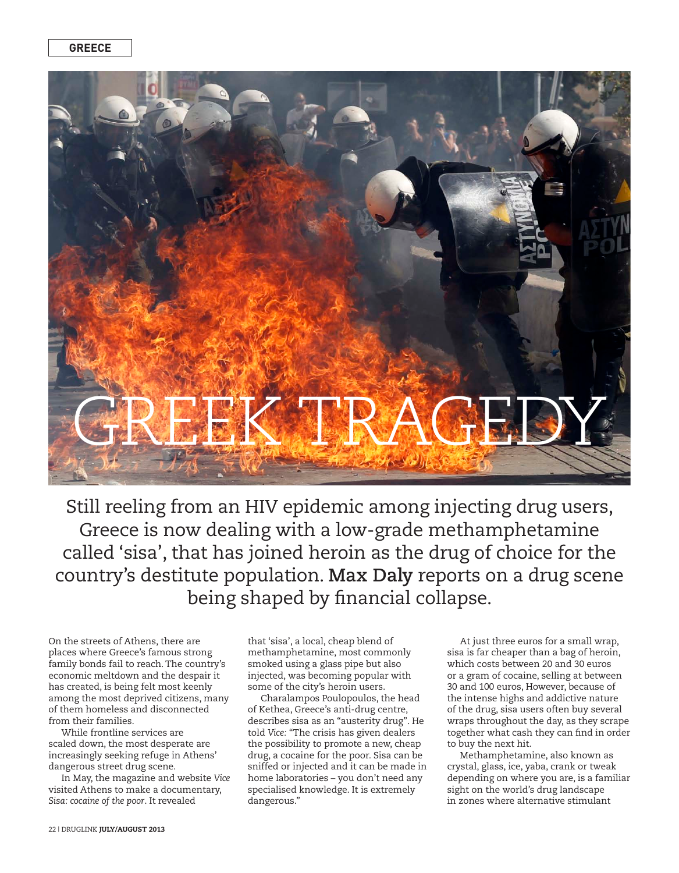

Still reeling from an HIV epidemic among injecting drug users, Greece is now dealing with a low-grade methamphetamine called 'sisa', that has joined heroin as the drug of choice for the country's destitute population. **Max Daly** reports on a drug scene being shaped by financial collapse.

On the streets of Athens, there are places where Greece's famous strong family bonds fail to reach. The country's economic meltdown and the despair it has created, is being felt most keenly among the most deprived citizens, many of them homeless and disconnected from their families.

While frontline services are scaled down, the most desperate are increasingly seeking refuge in Athens' dangerous street drug scene.

In May, the magazine and website *Vice* visited Athens to make a documentary, *Sisa: cocaine of the poor*. It revealed

that 'sisa', a local, cheap blend of methamphetamine, most commonly smoked using a glass pipe but also injected, was becoming popular with some of the city's heroin users.

Charalampos Poulopoulos, the head of Kethea, Greece's anti-drug centre, describes sisa as an "austerity drug". He told *Vice:* "The crisis has given dealers the possibility to promote a new, cheap drug, a cocaine for the poor. Sisa can be sniffed or injected and it can be made in home laboratories – you don't need any specialised knowledge. It is extremely dangerous."

At just three euros for a small wrap, sisa is far cheaper than a bag of heroin, which costs between 20 and 30 euros or a gram of cocaine, selling at between 30 and 100 euros, However, because of the intense highs and addictive nature of the drug, sisa users often buy several wraps throughout the day, as they scrape together what cash they can find in order to buy the next hit.

Methamphetamine, also known as crystal, glass, ice, yaba, crank or tweak depending on where you are, is a familiar sight on the world's drug landscape in zones where alternative stimulant